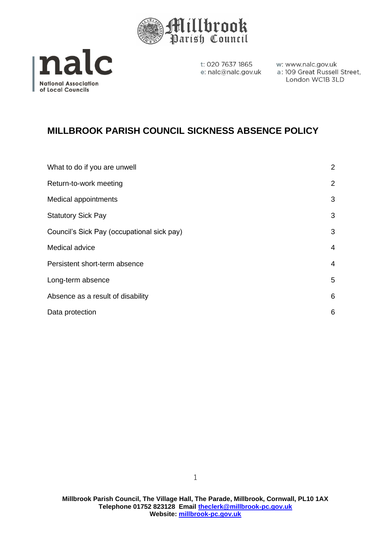



w: www.nalc.gov.uk a: 109 Great Russell Street. London WC1B 3LD

# **MILLBROOK PARISH COUNCIL SICKNESS ABSENCE POLICY**

| What to do if you are unwell               | $\overline{2}$ |
|--------------------------------------------|----------------|
| Return-to-work meeting                     | 2              |
| <b>Medical appointments</b>                | 3              |
| <b>Statutory Sick Pay</b>                  | 3              |
| Council's Sick Pay (occupational sick pay) | 3              |
| Medical advice                             | 4              |
| Persistent short-term absence              | 4              |
| Long-term absence                          | 5              |
| Absence as a result of disability          | 6              |
| Data protection                            | 6              |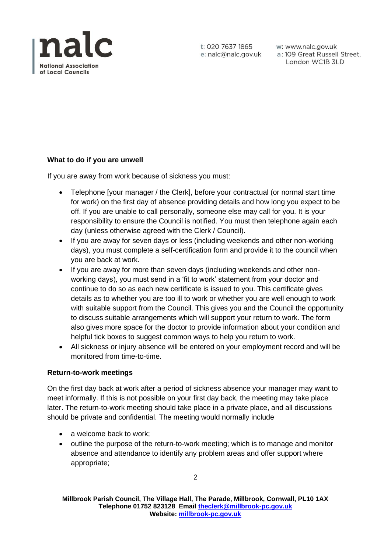

w: www.nalc.gov.uk a: 109 Great Russell Street, London WC1B 3LD

## **What to do if you are unwell**

If you are away from work because of sickness you must:

- Telephone [your manager / the Clerk], before your contractual (or normal start time for work) on the first day of absence providing details and how long you expect to be off. If you are unable to call personally, someone else may call for you. It is your responsibility to ensure the Council is notified. You must then telephone again each day (unless otherwise agreed with the Clerk / Council).
- If you are away for seven days or less (including weekends and other non-working days), you must complete a self-certification form and provide it to the council when you are back at work.
- If you are away for more than seven days (including weekends and other nonworking days), you must send in a 'fit to work' statement from your doctor and continue to do so as each new certificate is issued to you. This certificate gives details as to whether you are too ill to work or whether you are well enough to work with suitable support from the Council. This gives you and the Council the opportunity to discuss suitable arrangements which will support your return to work. The form also gives more space for the doctor to provide information about your condition and helpful tick boxes to suggest common ways to help you return to work.
- All sickness or injury absence will be entered on your employment record and will be monitored from time-to-time.

#### **Return-to-work meetings**

On the first day back at work after a period of sickness absence your manager may want to meet informally. If this is not possible on your first day back, the meeting may take place later. The return-to-work meeting should take place in a private place, and all discussions should be private and confidential. The meeting would normally include

- a welcome back to work;
- outline the purpose of the return-to-work meeting; which is to manage and monitor absence and attendance to identify any problem areas and offer support where appropriate;

2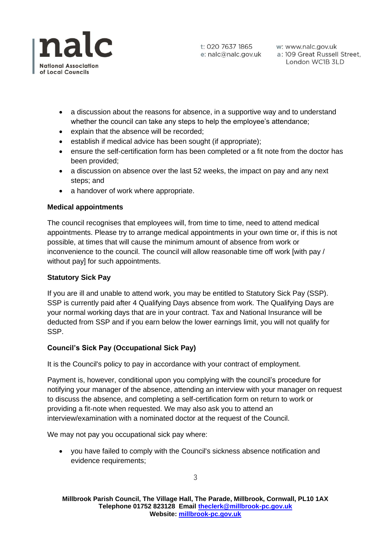

w: www.nalc.gov.uk a: 109 Great Russell Street, London WC1B 3LD

- a discussion about the reasons for absence, in a supportive way and to understand whether the council can take any steps to help the employee's attendance;
- explain that the absence will be recorded;
- establish if medical advice has been sought (if appropriate):
- ensure the self-certification form has been completed or a fit note from the doctor has been provided;
- a discussion on absence over the last 52 weeks, the impact on pay and any next steps; and
- a handover of work where appropriate.

### **Medical appointments**

The council recognises that employees will, from time to time, need to attend medical appointments. Please try to arrange medical appointments in your own time or, if this is not possible, at times that will cause the minimum amount of absence from work or inconvenience to the council. The council will allow reasonable time off work [with pay / without pay] for such appointments.

#### **Statutory Sick Pay**

If you are ill and unable to attend work, you may be entitled to Statutory Sick Pay (SSP). SSP is currently paid after 4 Qualifying Days absence from work. The Qualifying Days are your normal working days that are in your contract. Tax and National Insurance will be deducted from SSP and if you earn below the lower earnings limit, you will not qualify for SSP.

## **Council's Sick Pay (Occupational Sick Pay)**

It is the Council's policy to pay in accordance with your contract of employment.

Payment is, however, conditional upon you complying with the council's procedure for notifying your manager of the absence, attending an interview with your manager on request to discuss the absence, and completing a self-certification form on return to work or providing a fit-note when requested. We may also ask you to attend an interview/examination with a nominated doctor at the request of the Council.

We may not pay you occupational sick pay where:

• you have failed to comply with the Council's sickness absence notification and evidence requirements;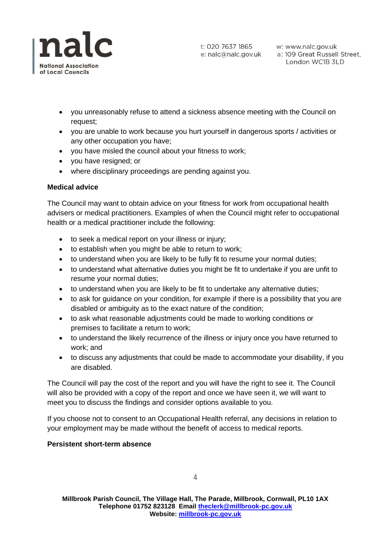

- you unreasonably refuse to attend a sickness absence meeting with the Council on request;
- you are unable to work because you hurt yourself in dangerous sports / activities or any other occupation you have;
- you have misled the council about your fitness to work;
- you have resigned; or
- where disciplinary proceedings are pending against you.

## **Medical advice**

The Council may want to obtain advice on your fitness for work from occupational health advisers or medical practitioners. Examples of when the Council might refer to occupational health or a medical practitioner include the following:

- to seek a medical report on your illness or injury;
- to establish when you might be able to return to work;
- to understand when you are likely to be fully fit to resume your normal duties;
- to understand what alternative duties you might be fit to undertake if you are unfit to resume your normal duties;
- to understand when you are likely to be fit to undertake any alternative duties;
- to ask for guidance on your condition, for example if there is a possibility that you are disabled or ambiguity as to the exact nature of the condition;
- to ask what reasonable adjustments could be made to working conditions or premises to facilitate a return to work;
- to understand the likely recurrence of the illness or injury once you have returned to work; and
- to discuss any adjustments that could be made to accommodate your disability, if you are disabled.

The Council will pay the cost of the report and you will have the right to see it. The Council will also be provided with a copy of the report and once we have seen it, we will want to meet you to discuss the findings and consider options available to you.

If you choose not to consent to an Occupational Health referral, any decisions in relation to your employment may be made without the benefit of access to medical reports.

## **Persistent short-term absence**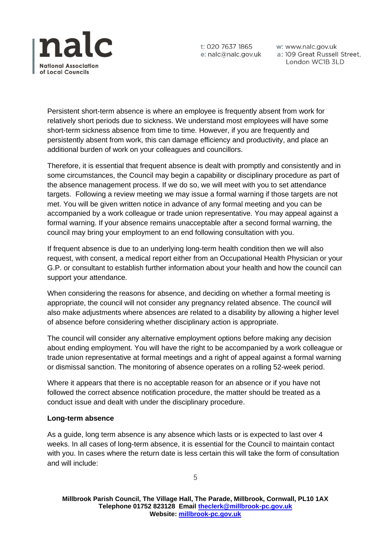

w: www.nalc.gov.uk a: 109 Great Russell Street, London WC1B 3LD

Persistent short-term absence is where an employee is frequently absent from work for relatively short periods due to sickness. We understand most employees will have some short-term sickness absence from time to time. However, if you are frequently and persistently absent from work, this can damage efficiency and productivity, and place an additional burden of work on your colleagues and councillors.

Therefore, it is essential that frequent absence is dealt with promptly and consistently and in some circumstances, the Council may begin a capability or disciplinary procedure as part of the absence management process. If we do so, we will meet with you to set attendance targets. Following a review meeting we may issue a formal warning if those targets are not met. You will be given written notice in advance of any formal meeting and you can be accompanied by a work colleague or trade union representative. You may appeal against a formal warning. If your absence remains unacceptable after a second formal warning, the council may bring your employment to an end following consultation with you.

If frequent absence is due to an underlying long-term health condition then we will also request, with consent, a medical report either from an Occupational Health Physician or your G.P. or consultant to establish further information about your health and how the council can support your attendance.

When considering the reasons for absence, and deciding on whether a formal meeting is appropriate, the council will not consider any pregnancy related absence. The council will also make adjustments where absences are related to a disability by allowing a higher level of absence before considering whether disciplinary action is appropriate.

The council will consider any alternative employment options before making any decision about ending employment. You will have the right to be accompanied by a work colleague or trade union representative at formal meetings and a right of appeal against a formal warning or dismissal sanction. The monitoring of absence operates on a rolling 52-week period.

Where it appears that there is no acceptable reason for an absence or if you have not followed the correct absence notification procedure, the matter should be treated as a conduct issue and dealt with under the disciplinary procedure.

#### **Long-term absence**

As a guide, long term absence is any absence which lasts or is expected to last over 4 weeks. In all cases of long-term absence, it is essential for the Council to maintain contact with you. In cases where the return date is less certain this will take the form of consultation and will include: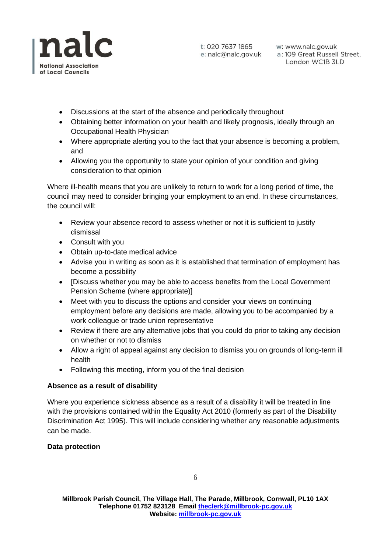

w: www.nalc.gov.uk a: 109 Great Russell Street, London WC1B 3LD

- Discussions at the start of the absence and periodically throughout
- Obtaining better information on your health and likely prognosis, ideally through an Occupational Health Physician
- Where appropriate alerting you to the fact that your absence is becoming a problem, and
- Allowing you the opportunity to state your opinion of your condition and giving consideration to that opinion

Where ill-health means that you are unlikely to return to work for a long period of time, the council may need to consider bringing your employment to an end. In these circumstances, the council will:

- Review your absence record to assess whether or not it is sufficient to justify dismissal
- Consult with you
- Obtain up-to-date medical advice
- Advise you in writing as soon as it is established that termination of employment has become a possibility
- [Discuss whether you may be able to access benefits from the Local Government Pension Scheme (where appropriate)]
- Meet with you to discuss the options and consider your views on continuing employment before any decisions are made, allowing you to be accompanied by a work colleague or trade union representative
- Review if there are any alternative jobs that you could do prior to taking any decision on whether or not to dismiss
- Allow a right of appeal against any decision to dismiss you on grounds of long-term ill health
- Following this meeting, inform you of the final decision

#### **Absence as a result of disability**

Where you experience sickness absence as a result of a disability it will be treated in line with the provisions contained within the Equality Act 2010 (formerly as part of the Disability Discrimination Act 1995). This will include considering whether any reasonable adjustments can be made.

#### **Data protection**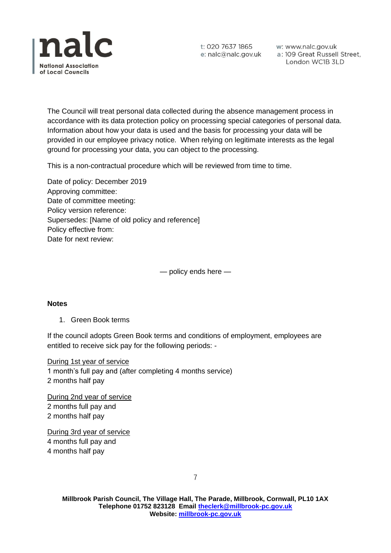

w: www.nalc.gov.uk a: 109 Great Russell Street, London WC1B 3LD

The Council will treat personal data collected during the absence management process in accordance with its data protection policy on processing special categories of personal data. Information about how your data is used and the basis for processing your data will be provided in our employee privacy notice. When relying on legitimate interests as the legal ground for processing your data, you can object to the processing.

This is a non-contractual procedure which will be reviewed from time to time.

Date of policy: December 2019 Approving committee: Date of committee meeting: Policy version reference: Supersedes: [Name of old policy and reference] Policy effective from: Date for next review:

— policy ends here —

#### **Notes**

1. Green Book terms

If the council adopts Green Book terms and conditions of employment, employees are entitled to receive sick pay for the following periods: -

During 1st year of service 1 month's full pay and (after completing 4 months service) 2 months half pay

During 2nd year of service 2 months full pay and 2 months half pay

During 3rd year of service 4 months full pay and 4 months half pay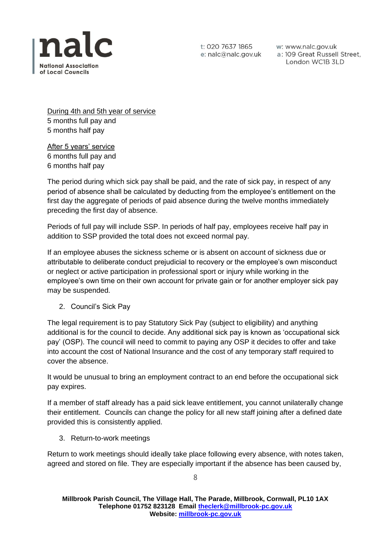

w: www.nalc.gov.uk a: 109 Great Russell Street, London WC1B 3LD

During 4th and 5th year of service 5 months full pay and 5 months half pay

After 5 years' service 6 months full pay and 6 months half pay

The period during which sick pay shall be paid, and the rate of sick pay, in respect of any period of absence shall be calculated by deducting from the employee's entitlement on the first day the aggregate of periods of paid absence during the twelve months immediately preceding the first day of absence.

Periods of full pay will include SSP. In periods of half pay, employees receive half pay in addition to SSP provided the total does not exceed normal pay.

If an employee abuses the sickness scheme or is absent on account of sickness due or attributable to deliberate conduct prejudicial to recovery or the employee's own misconduct or neglect or active participation in professional sport or injury while working in the employee's own time on their own account for private gain or for another employer sick pay may be suspended.

2. Council's Sick Pay

The legal requirement is to pay Statutory Sick Pay (subject to eligibility) and anything additional is for the council to decide. Any additional sick pay is known as 'occupational sick pay' (OSP). The council will need to commit to paying any OSP it decides to offer and take into account the cost of National Insurance and the cost of any temporary staff required to cover the absence.

It would be unusual to bring an employment contract to an end before the occupational sick pay expires.

If a member of staff already has a paid sick leave entitlement, you cannot unilaterally change their entitlement. Councils can change the policy for all new staff joining after a defined date provided this is consistently applied.

3. Return-to-work meetings

Return to work meetings should ideally take place following every absence, with notes taken, agreed and stored on file. They are especially important if the absence has been caused by,

8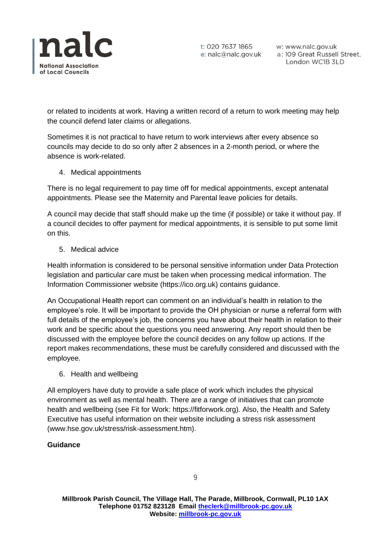

w: www.nalc.gov.uk a: 109 Great Russell Street, London WC1B 3LD

or related to incidents at work. Having a written record of a return to work meeting may help the council defend later claims or allegations.

Sometimes it is not practical to have return to work interviews after every absence so councils may decide to do so only after 2 absences in a 2-month period, or where the absence is work-related.

### 4. Medical appointments

There is no legal requirement to pay time off for medical appointments, except antenatal appointments. Please see the Maternity and Parental leave policies for details.

A council may decide that staff should make up the time (if possible) or take it without pay. If a council decides to offer payment for medical appointments, it is sensible to put some limit on this.

### 5. Medical advice

Health information is considered to be personal sensitive information under Data Protection legislation and particular care must be taken when processing medical information. The Information Commissioner website (https://ico.org.uk) contains guidance.

An Occupational Health report can comment on an individual's health in relation to the employee's role. It will be important to provide the OH physician or nurse a referral form with full details of the employee's job, the concerns you have about their health in relation to their work and be specific about the questions you need answering. Any report should then be discussed with the employee before the council decides on any follow up actions. If the report makes recommendations, these must be carefully considered and discussed with the employee.

6. Health and wellbeing

All employers have duty to provide a safe place of work which includes the physical environment as well as mental health. There are a range of initiatives that can promote health and wellbeing (see Fit for Work: https://fitforwork.org). Also, the Health and Safety Executive has useful information on their website including a stress risk assessment (www.hse.gov.uk/stress/risk-assessment.htm).

#### **Guidance**